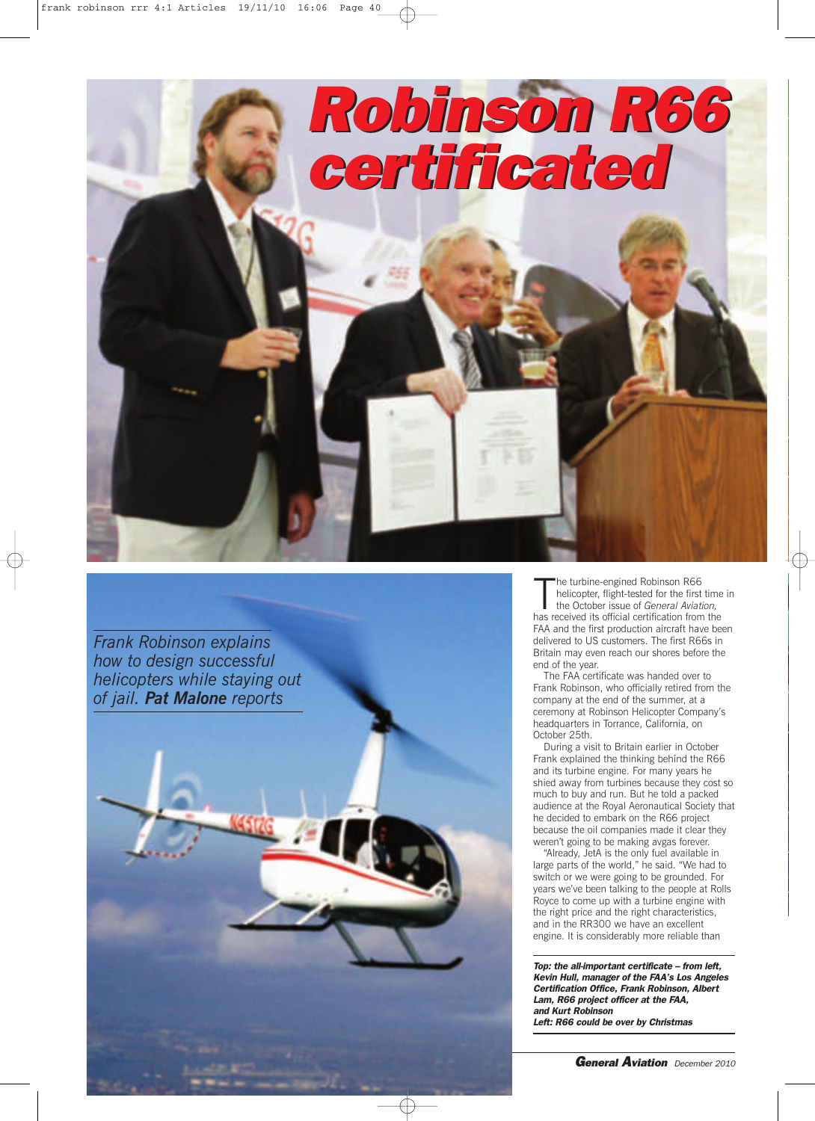

*Frank Robinson explains how to design successful helicopters while staying out of jail. Pat Malone reports*



The turbine-engined Robinson R66<br>
helicopter, flight-tested for the first time<br>
the October issue of *General Aviation*,<br>
has received its official certification from the he turbine-engined Robinson R66 helicopter, flight-tested for the first time in the October issue of *General Aviation,* FAA and the first production aircraft have been delivered to US customers. The first R66s in Britain may even reach our shores before the end of the year.

The FAA certificate was handed over to Frank Robinson, who officially retired from the company at the end of the summer, at a ceremony at Robinson Helicopter Company's headquarters in Torrance, California, on October 25th.

During a visit to Britain earlier in October Frank explained the thinking behind the R66 and its turbine engine. For many years he shied away from turbines because they cost so much to buy and run. But he told a packed audience at the Royal Aeronautical Society that he decided to embark on the R66 project because the oil companies made it clear they weren't going to be making avgas forever.

"Already, JetA is the only fuel available in large parts of the world," he said. "We had to switch or we were going to be grounded. For years we've been talking to the people at Rolls Royce to come up with a turbine engine with the right price and the right characteristics, and in the RR300 we have an excellent engine. It is considerably more reliable than

*Top: the all-important certificate – from left, Kevin Hull, manager of the FAA's Los Angeles Certification Office, Frank Robinson, Albert Lam, R66 project officer at the FAA, and Kurt Robinson Left: R66 could be over by Christmas*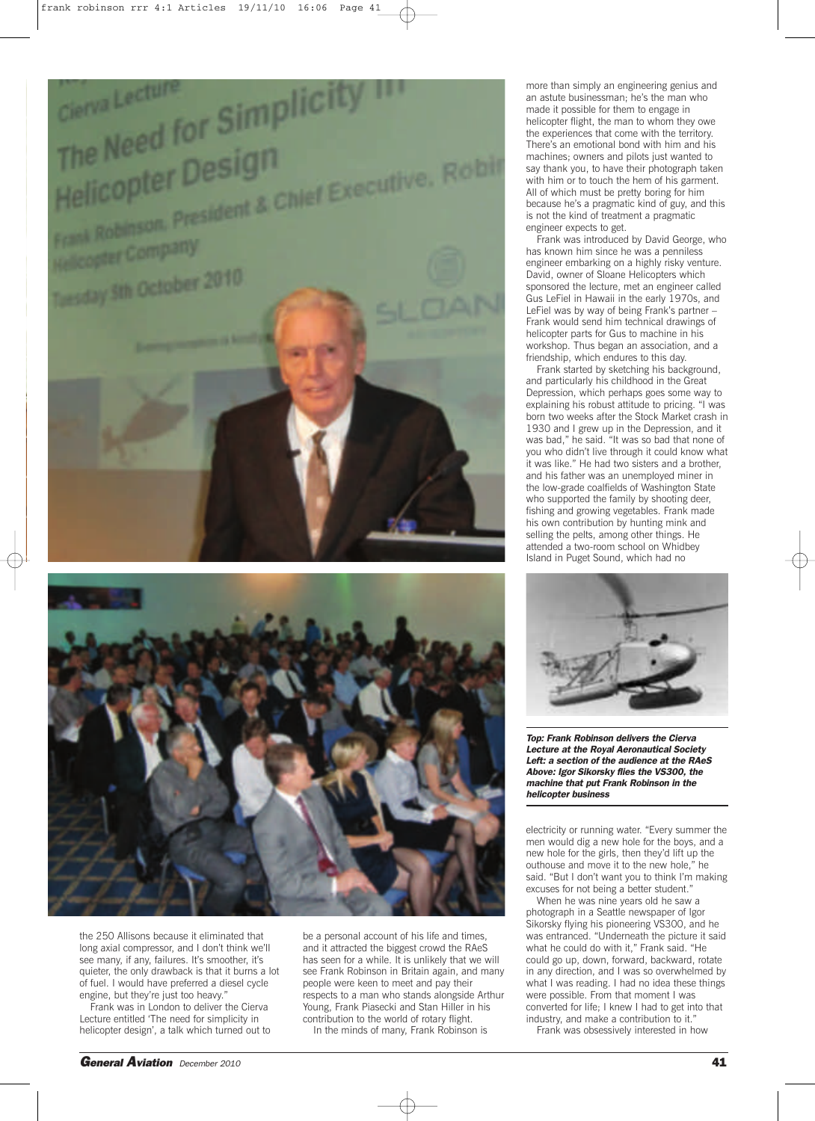

more than simply an engineering genius and an astute businessman; he's the man who made it possible for them to engage in helicopter flight, the man to whom they owe the experiences that come with the territory. There's an emotional bond with him and his machines; owners and pilots just wanted to say thank you, to have their photograph taken with him or to touch the hem of his garment. All of which must be pretty boring for him because he's a pragmatic kind of guy, and this is not the kind of treatment a pragmatic engineer expects to get.

Frank was introduced by David George, who has known him since he was a penniless engineer embarking on a highly risky venture. David, owner of Sloane Helicopters which sponsored the lecture, met an engineer called Gus LeFiel in Hawaii in the early 1970s, and LeFiel was by way of being Frank's partner – Frank would send him technical drawings of helicopter parts for Gus to machine in his workshop. Thus began an association, and a friendship, which endures to this day.

Frank started by sketching his background, and particularly his childhood in the Great Depression, which perhaps goes some way to explaining his robust attitude to pricing. "I was born two weeks after the Stock Market crash in 1930 and I grew up in the Depression, and it was bad," he said. "It was so bad that none of you who didn't live through it could know what it was like." He had two sisters and a brother, and his father was an unemployed miner in the low-grade coalfields of Washington State who supported the family by shooting deer, fishing and growing vegetables. Frank made his own contribution by hunting mink and selling the pelts, among other things. He attended a two-room school on Whidbey Island in Puget Sound, which had no



*Top: Frank Robinson delivers the Cierva Lecture at the Royal Aeronautical Society Left: a section of the audience at the RAeS Above: Igor Sikorsky flies the VS300, the machine that put Frank Robinson in the helicopter business*

electricity or running water. "Every summer the men would dig a new hole for the boys, and a new hole for the girls, then they'd lift up the outhouse and move it to the new hole," he said. "But I don't want you to think I'm making excuses for not being a better student."

When he was nine years old he saw a photograph in a Seattle newspaper of Igor Sikorsky flying his pioneering VS300, and he was entranced. "Underneath the picture it said what he could do with it," Frank said. "He could go up, down, forward, backward, rotate in any direction, and I was so overwhelmed by what I was reading. I had no idea these things were possible. From that moment I was converted for life; I knew I had to get into that industry, and make a contribution to it.' Frank was obsessively interested in how

the 250 Allisons because it eliminated that long axial compressor, and I don't think we'll see many, if any, failures. It's smoother, it's quieter, the only drawback is that it burns a lot of fuel. I would have preferred a diesel cycle engine, but they're just too heavy.'

Frank was in London to deliver the Cierva Lecture entitled 'The need for simplicity in helicopter design', a talk which turned out to be a personal account of his life and times, and it attracted the biggest crowd the RAeS has seen for a while. It is unlikely that we will see Frank Robinson in Britain again, and many people were keen to meet and pay their respects to a man who stands alongside Arthur Young, Frank Piasecki and Stan Hiller in his contribution to the world of rotary flight. In the minds of many, Frank Robinson is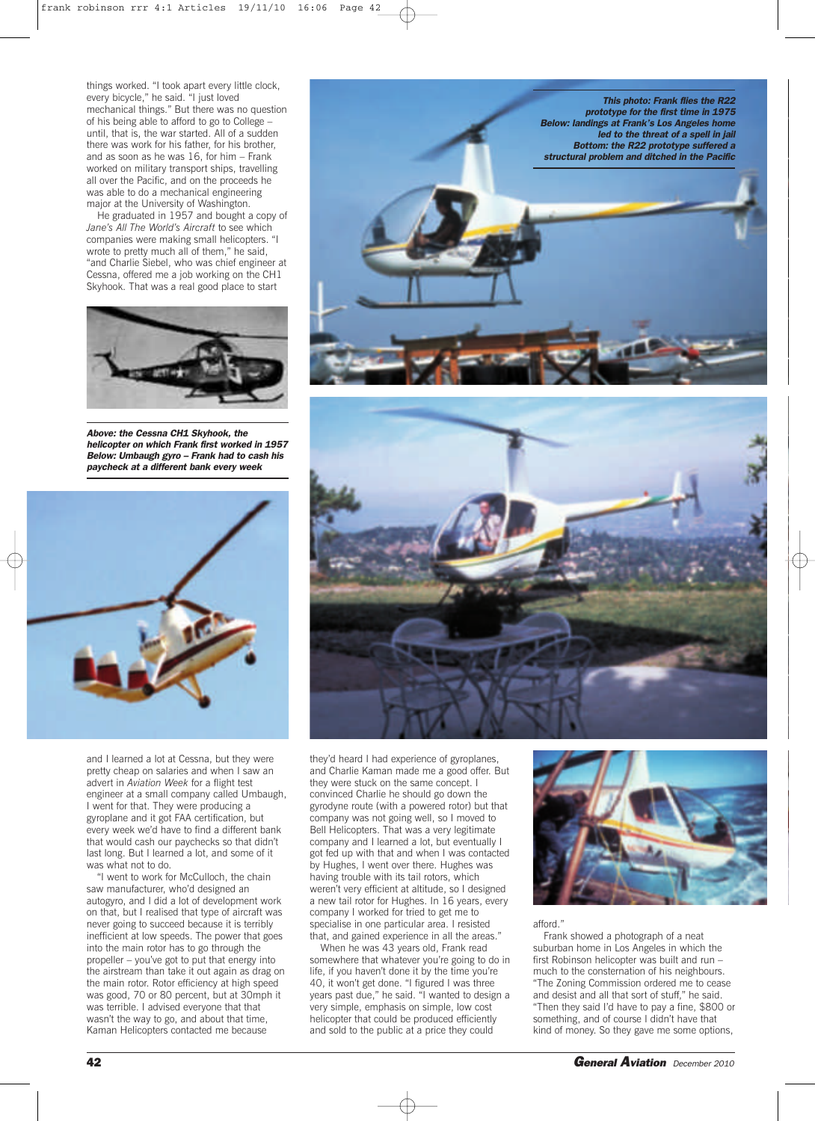things worked. "I took apart every little clock, every bicycle," he said. "I just loved mechanical things." But there was no question of his being able to afford to go to College – until, that is, the war started. All of a sudden there was work for his father, for his brother, and as soon as he was 16, for him – Frank worked on military transport ships, travelling all over the Pacific, and on the proceeds he was able to do a mechanical engineering major at the University of Washington.

He graduated in 1957 and bought a copy of *Jane's All The World's Aircraft* to see which companies were making small helicopters. "I wrote to pretty much all of them," he said, "and Charlie Siebel, who was chief engineer at Cessna, offered me a job working on the CH1 Skyhook. That was a real good place to start



*Above: the Cessna CH1 Skyhook, the helicopter on which Frank first worked in 1957 Below: Umbaugh gyro – Frank had to cash his paycheck at a different bank every week*



and I learned a lot at Cessna, but they were pretty cheap on salaries and when I saw an advert in *Aviation Week* for a flight test engineer at a small company called Umbaugh, I went for that. They were producing a gyroplane and it got FAA certification, but every week we'd have to find a different bank that would cash our paychecks so that didn't last long. But I learned a lot, and some of it was what not to do.

"I went to work for McCulloch, the chain saw manufacturer, who'd designed an autogyro, and I did a lot of development work on that, but I realised that type of aircraft was never going to succeed because it is terribly inefficient at low speeds. The power that goes into the main rotor has to go through the propeller – you've got to put that energy into the airstream than take it out again as drag on the main rotor. Rotor efficiency at high speed was good, 70 or 80 percent, but at 30mph it was terrible. I advised everyone that that wasn't the way to go, and about that time, Kaman Helicopters contacted me because





they'd heard I had experience of gyroplanes, and Charlie Kaman made me a good offer. But they were stuck on the same concept. I convinced Charlie he should go down the gyrodyne route (with a powered rotor) but that company was not going well, so I moved to Bell Helicopters. That was a very legitimate company and I learned a lot, but eventually I got fed up with that and when I was contacted by Hughes, I went over there. Hughes was having trouble with its tail rotors, which weren't very efficient at altitude, so I designed a new tail rotor for Hughes. In 16 years, every company I worked for tried to get me to specialise in one particular area. I resisted that, and gained experience in all the areas."

When he was 43 years old, Frank read somewhere that whatever you're going to do in life, if you haven't done it by the time you're 40, it won't get done. "I figured I was three years past due," he said. "I wanted to design a very simple, emphasis on simple, low cost helicopter that could be produced efficiently and sold to the public at a price they could



## afford."

Frank showed a photograph of a neat suburban home in Los Angeles in which the first Robinson helicopter was built and run – much to the consternation of his neighbours. "The Zoning Commission ordered me to cease and desist and all that sort of stuff," he said. "Then they said I'd have to pay a fine, \$800 or something, and of course I didn't have that kind of money. So they gave me some options,